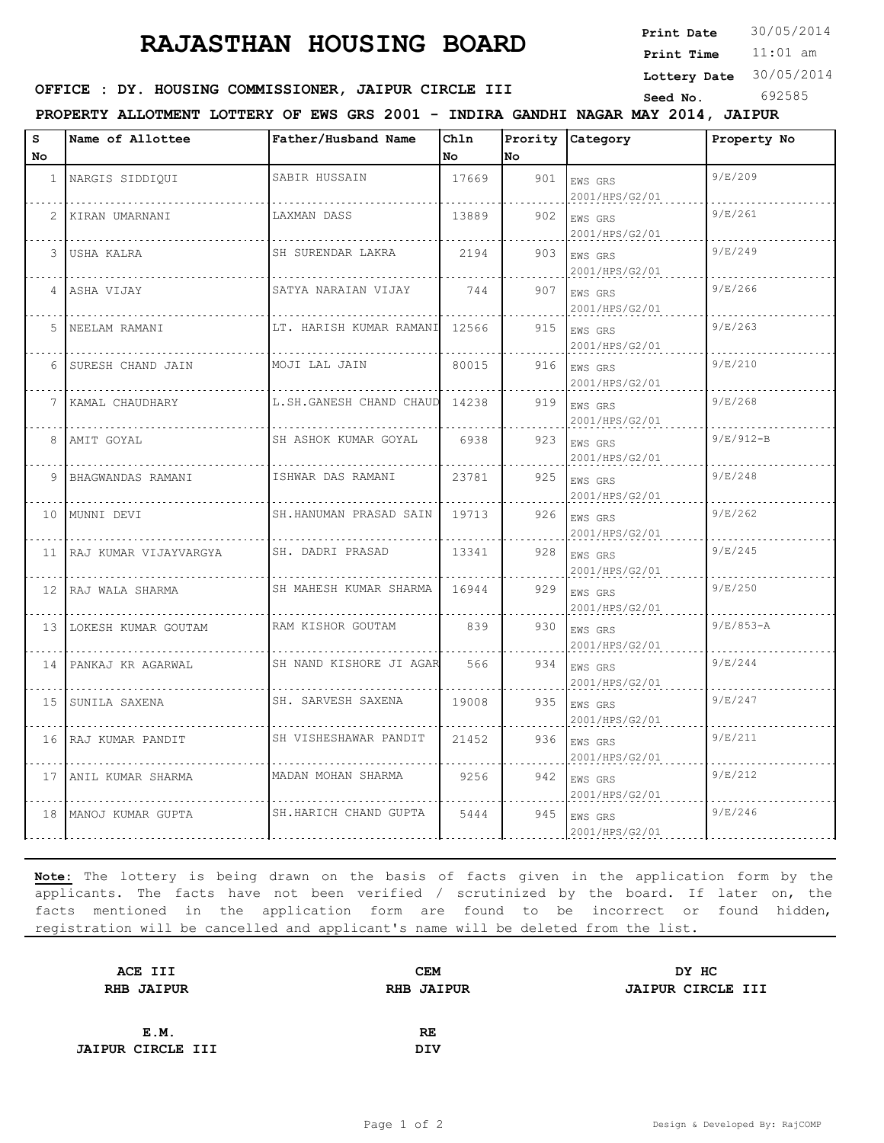**Print Date**  $30/05/2014$ 

11:01 am **Print Time**

**Lottery Date** 30/05/2014

### **SEED OFFICE : DY. HOUSING COMMISSIONER, JAIPUR CIRCLE III** Seed No. 692585

**PROPERTY ALLOTMENT LOTTERY OF EWS GRS 2001 - INDIRA GANDHI NAGAR MAY 2014, JAIPUR**

| s<br>No        | Name of Allottee           | Father/Husband Name     | Chln<br>No | No  | Prority Category              | Property No   |
|----------------|----------------------------|-------------------------|------------|-----|-------------------------------|---------------|
|                |                            |                         |            |     |                               |               |
|                | 1 NARGIS SIDDIQUI          | SABIR HUSSAIN           | 17669      | 901 | EWS GRS<br>2001/HPS/G2/01     | 9/E/209       |
|                | 2 KIRAN UMARNANI           | LAXMAN DASS             | 13889      | 902 | EWS GRS<br>2001/HPS/G2/01     | 9/E/261       |
| 3 <sup>1</sup> | USHA KALRA                 | SH SURENDAR LAKRA       | 2194       | 903 | EWS GRS<br>2001/HPS/G2/01     | 9/E/249       |
|                | 4 ASHA VIJAY               | SATYA NARAIAN VIJAY     | 744        | 907 | EWS GRS<br>2001/HPS/G2/01     | 9/E/266       |
|                | 5 INEELAM RAMANI           | LT. HARISH KUMAR RAMANI | 12566      | 915 | EWS GRS<br>2001/HPS/G2/01     | 9/E/263       |
| 6              | SURESH CHAND JAIN          | MOJI LAL JAIN           | 80015      |     | 916 EWS GRS<br>2001/HPS/G2/01 | 9/E/210       |
| $7-1$          | KAMAL CHAUDHARY            | L.SH.GANESH CHAND CHAUD | 14238      | 919 | EWS GRS<br>2001/HPS/G2/01     | 9/E/268       |
|                | 8 AMIT GOYAL               | SH ASHOK KUMAR GOYAL    | 6938       | 923 | EWS GRS<br>2001/HPS/G2/01     | $9/E/912-B$   |
|                | 9 BHAGWANDAS RAMANI        | ISHWAR DAS RAMANI       | 23781      | 925 | EWS GRS<br>2001/HPS/G2/01     | 9/E/248       |
|                | 10 MUNNI DEVI              | SH.HANUMAN PRASAD SAIN  | 19713      | 926 | EWS GRS<br>2001/HPS/G2/01     | 9/E/262       |
|                | 11   RAJ KUMAR VIJAYVARGYA | SH. DADRI PRASAD        | 13341      | 928 | EWS GRS<br>2001/HPS/G2/01     | 9/E/245       |
|                | 12 RAJ WALA SHARMA         | SH MAHESH KUMAR SHARMA  | 16944      | 929 | EWS GRS<br>2001/HPS/G2/01     | 9/E/250       |
|                | 13   LOKESH KUMAR GOUTAM   | RAM KISHOR GOUTAM       | 839        |     | 930 EWS GRS<br>2001/HPS/G2/01 | $9/E/853 - A$ |
|                | 14 PANKAJ KR AGARWAL       | SH NAND KISHORE JI AGAR | 566        | 934 | EWS GRS<br>2001/HPS/G2/01     | 9/E/244       |
| 15             | SUNILA SAXENA              | SH. SARVESH SAXENA      | 19008      | 935 | EWS GRS<br>2001/HPS/G2/01     | 9/E/247       |
|                | 16 RAJ KUMAR PANDIT        | SH VISHESHAWAR PANDIT   | 21452      | 936 | EWS GRS<br>2001/HPS/G2/01     | 9/E/211       |
|                | 17 ANIL KUMAR SHARMA       | MADAN MOHAN SHARMA      | 9256       | 942 | EWS GRS<br>2001/HPS/G2/01     | 9/E/212       |
|                | 18   MANOJ KUMAR GUPTA     | SH.HARICH CHAND GUPTA   | 5444       | 945 | EWS GRS<br>2001/HPS/G2/01     | 9/E/246       |

| ACE III                  | <b>CEM</b>        | DY HC             |  |
|--------------------------|-------------------|-------------------|--|
| <b>RHB JAIPUR</b>        | <b>RHB JAIPUR</b> | JAIPUR CIRCLE III |  |
|                          |                   |                   |  |
| E.M.                     | RE                |                   |  |
| <b>JAIPUR CIRCLE III</b> | <b>DIV</b>        |                   |  |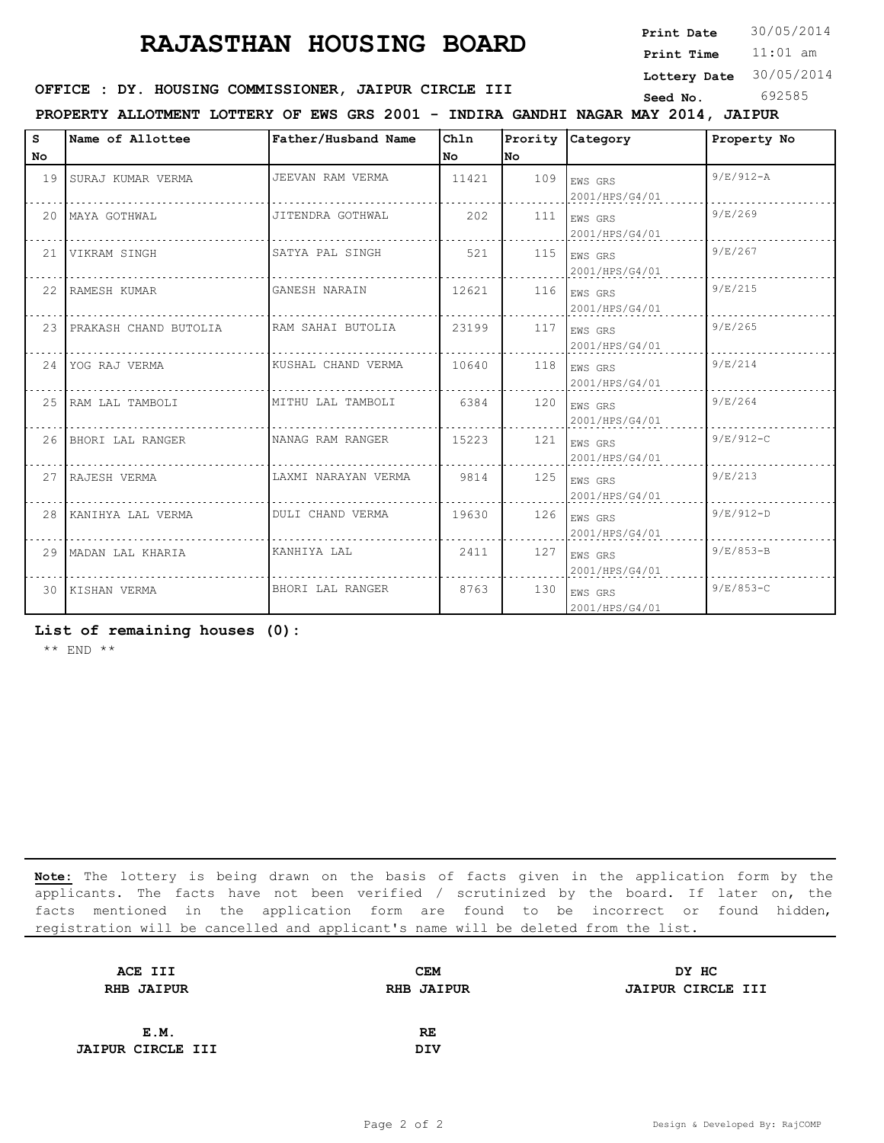**Print Date**  $30/05/2014$ 

11:01 am **Print Time Lottery Date** 30/05/2014

### **SEED IDE. HOUSING COMMISSIONER, JAIPUR CIRCLE III** Seed No. 692585

**PROPERTY ALLOTMENT LOTTERY OF EWS GRS 2001 - INDIRA GANDHI NAGAR MAY 2014, JAIPUR**

| s  | Name of Allottee         | Father/Husband Name | Chln  |      | Prority Category                  | Property No   |
|----|--------------------------|---------------------|-------|------|-----------------------------------|---------------|
| No |                          |                     | l No  | lNo. |                                   |               |
|    | 19 SURAJ KUMAR VERMA     | JEEVAN RAM VERMA    | 11421 | 109  | EWS GRS<br>2001/HPS/G4/01         | $9/E/912 - A$ |
|    | 20 MAYA GOTHWAL          | JITENDRA GOTHWAL    | 202   | 111  | EWS GRS<br>2001/HPS/G4/01         | 9/E/269       |
|    | 21 VIKRAM SINGH          | SATYA PAL SINGH     | 521   | 115  | EWS GRS<br>2001/HPS/G4/01         | 9/E/267       |
|    | 22 RAMESH KUMAR          | GANESH NARAIN       | 12621 |      | $116$ $EWS$ GRS<br>2001/HPS/G4/01 | 9/E/215       |
|    | 23 PRAKASH CHAND BUTOLIA | RAM SAHAI BUTOLIA   | 23199 |      | $117$ EWS GRS<br>2001/HPS/G4/01   | 9/E/265       |
|    | 24 YOG RAJ VERMA         | KUSHAL CHAND VERMA  | 10640 |      | $118$ $kms$ GRS<br>2001/HPS/G4/01 | 9/E/214       |
|    | 25 RAM LAL TAMBOLI       | MITHU LAL TAMBOLI   | 6384  | 120  | EWS GRS<br>2001/HPS/G4/01         | 9/E/264       |
|    | 26 BHORI LAL RANGER      | NANAG RAM RANGER    | 15223 | 121  | EWS GRS<br>2001/HPS/G4/01         | $9/E/912-C$   |
|    | 27 RAJESH VERMA          | LAXMI NARAYAN VERMA | 9814  | 125  | EWS GRS<br>2001/HPS/G4/01         | 9/E/213       |
|    | 28 KANIHYA LAL VERMA     | DULI CHAND VERMA    | 19630 |      | $126$ EWS GRS<br>2001/HPS/G4/01   | $9/E/912-D$   |
|    | 29 MADAN LAL KHARIA      | KANHIYA LAL         | 2411  |      | $127$ EWS GRS<br>2001/HPS/G4/01   | $9/E/853-B$   |
|    | 30 KISHAN VERMA          | BHORI LAL RANGER    | 8763  |      | 130 EWS GRS<br>2001/HPS/G4/01     | $9/E/853-C$   |

#### **List of remaining houses (0):**

 $***$  END  $***$ 

| ACE III                          | <b>CEM</b>        | DY HC             |
|----------------------------------|-------------------|-------------------|
| <b>RHB JAIPUR</b>                | <b>RHB JAIPUR</b> | JAIPUR CIRCLE III |
| E.M.<br><b>JAIPUR CIRCLE III</b> | RE<br><b>DIV</b>  |                   |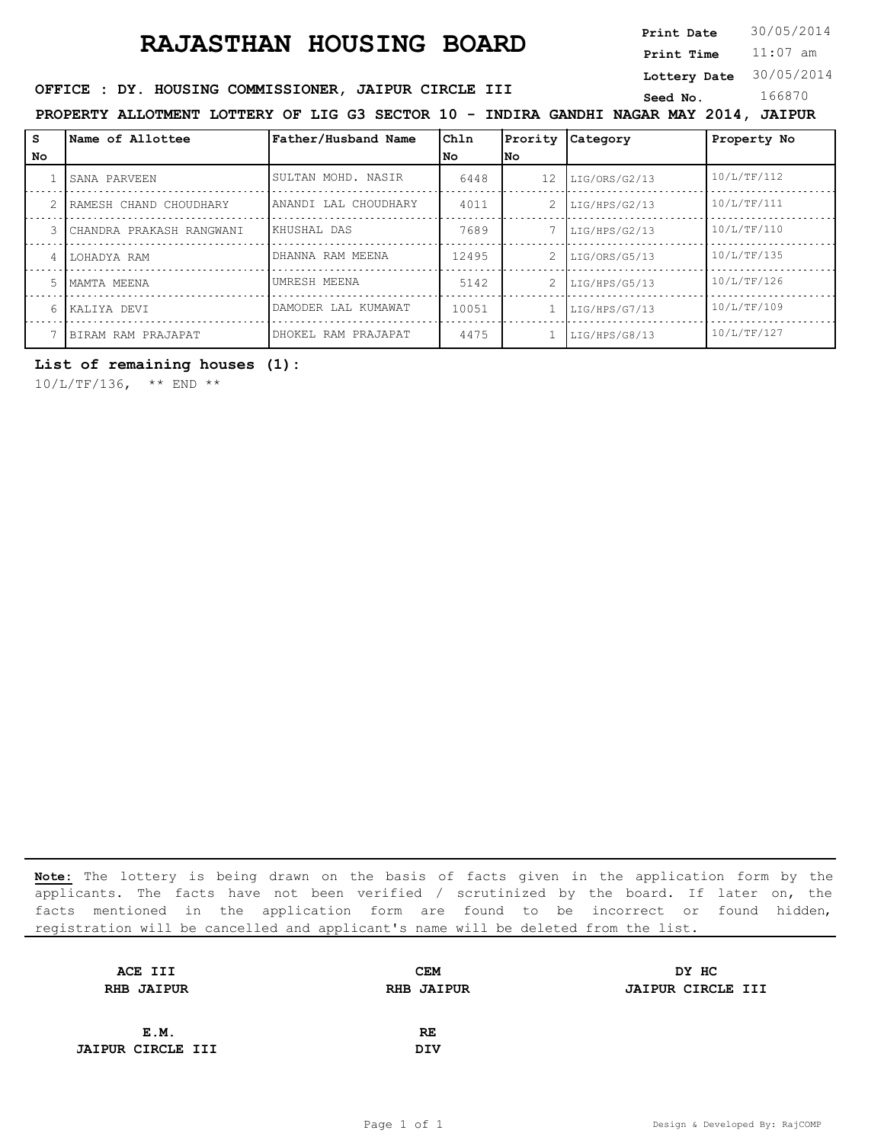# **RAJASTHAN HOUSING BOARD** Print Date 30/05/2014

11:07 am **Print Time Print Date Lottery Date** 30/05/2014

### **SEED OFFICE : DY. HOUSING COMMISSIONER, JAIPUR CIRCLE III** Seed No. 166870

**PROPERTY ALLOTMENT LOTTERY OF LIG G3 SECTOR 10 - INDIRA GANDHI NAGAR MAY 2014, JAIPUR**

| S. | <b>Name of Allottee</b>   | Father/Husband Name  | Chln  | Prority        | Category      | Property No |  |
|----|---------------------------|----------------------|-------|----------------|---------------|-------------|--|
| No |                           |                      | l No  | lNo.           |               |             |  |
|    | SANA PARVEEN              | SULTAN MOHD. NASIR   | 6448  | 12             | LIG/ORS/G2/13 | 10/L/TF/112 |  |
|    | 2 IRAMESH CHAND CHOUDHARY | ANANDI LAL CHOUDHARY | 4011  | 2 <sub>1</sub> | LIG/HPS/G2/13 | 10/L/TF/111 |  |
| 3  | CHANDRA PRAKASH RANGWANI  | KHUSHAL DAS          | 7689  |                | LIG/HPS/G2/13 | 10/L/TF/110 |  |
|    | 4 LOHADYA RAM             | DHANNA RAM MEENA     | 12495 | 2              | LIG/ORS/G5/13 | 10/L/TF/135 |  |
| 5. | MAMTA MEENA               | UMRESH MEENA         | 5142  | $\overline{2}$ | LIG/HPS/G5/13 | 10/L/TF/126 |  |
| 61 | KALIYA DEVI               | DAMODER LAL KUMAWAT  | 10051 |                | LIG/HPS/G7/13 | 10/L/TF/109 |  |
|    | BIRAM RAM PRAJAPAT        | DHOKEL RAM PRAJAPAT  | 4475  |                | LIG/HPS/G8/13 | 10/L/TF/127 |  |

**List of remaining houses (1):** 

10/L/TF/136, \*\* END \*\*

| ACE III                  | <b>CEM</b>        | DY HC             |
|--------------------------|-------------------|-------------------|
| <b>RHB JAIPUR</b>        | <b>RHB JAIPUR</b> | JAIPUR CIRCLE III |
|                          |                   |                   |
| E.M.                     | RE                |                   |
| <b>JAIPUR CIRCLE III</b> | <b>DIV</b>        |                   |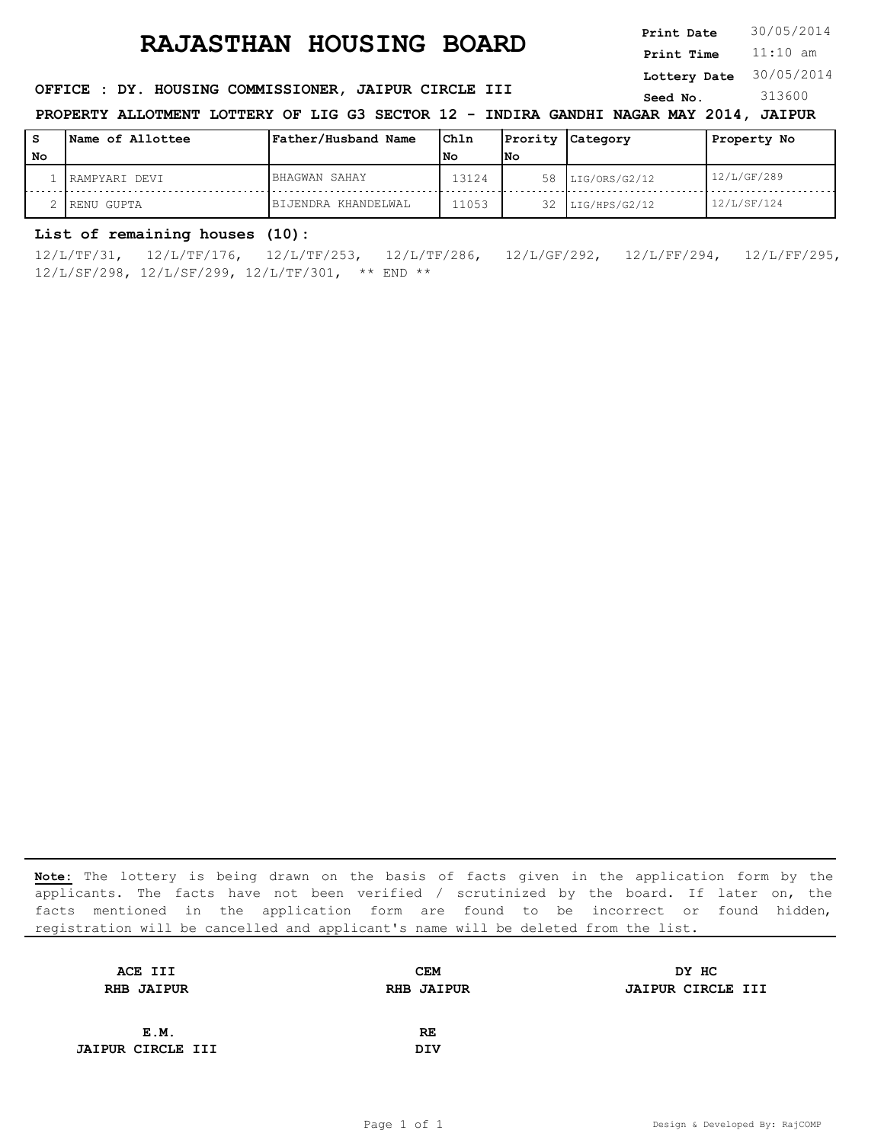11:10 am **Print Time Print Date Lottery Date** 30/05/2014

### **SEED OFFICE : DY. HOUSING COMMISSIONER, JAIPUR CIRCLE III** Seed No. 313600

**PROPERTY ALLOTMENT LOTTERY OF LIG G3 SECTOR 12 - INDIRA GANDHI NAGAR MAY 2014, JAIPUR**

| s  | Name of Allottee | Father/Husband Name | Chln  |           | Prority Category | Property No |
|----|------------------|---------------------|-------|-----------|------------------|-------------|
| No |                  |                     | l No  | lNo       |                  |             |
|    | RAMPYARI DEVI    | BHAGWAN SAHAY       | 13124 | 58        | LIG/ORS/G2/12    | 12/L/GF/289 |
|    | : IRENU GUPTA    | BIJENDRA KHANDELWAL | 11053 | $\hat{ }$ | LIG/HPS/G2/12    | 12/L/SF/124 |

#### **List of remaining houses (10):**

12/L/TF/31, 12/L/TF/176, 12/L/TF/253, 12/L/TF/286, 12/L/GF/292, 12/L/FF/294, 12/L/FF/295, 12/L/SF/298, 12/L/SF/299, 12/L/TF/301, \*\* END \*\*

| ACE III                  | <b>CEM</b>        | DY HC                    |
|--------------------------|-------------------|--------------------------|
| <b>RHB JAIPUR</b>        | <b>RHB JAIPUR</b> | <b>JAIPUR CIRCLE III</b> |
|                          |                   |                          |
| E.M.                     | RE.               |                          |
| <b>JAIPUR CIRCLE III</b> | <b>DIV</b>        |                          |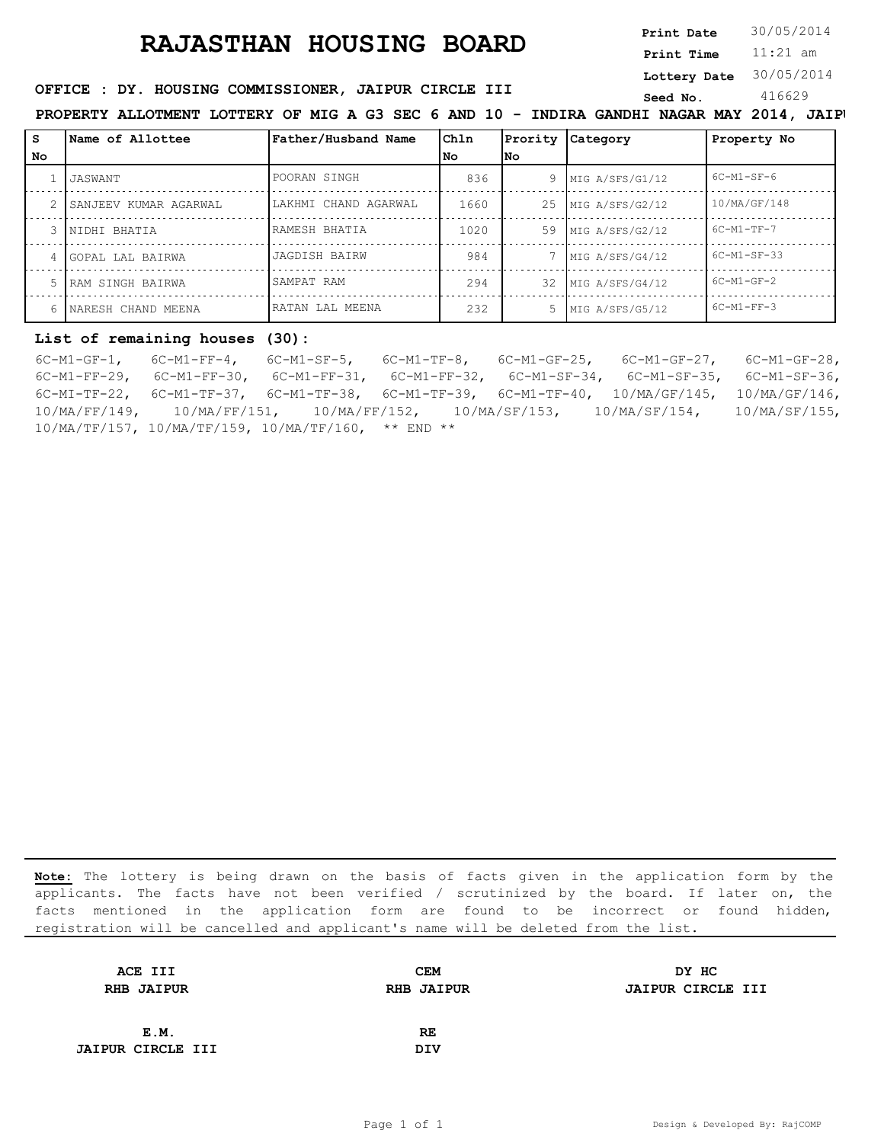11:21 am **Print Date**  $30/05/2014$ 

**Print Time Lottery Date** 30/05/2014

# **SEED IDE. HOUSING COMMISSIONER, JAIPUR CIRCLE III** Seed No. 416629

PROPERTY ALLOTMENT LOTTERY OF MIG A G3 SEC 6 AND 10 - INDIRA GANDHI NAGAR MAY 2014, JAIPU

| s             | Name of Allottee      | Father/Husband Name  | Chln | Prority   | Category          | Property No   |
|---------------|-----------------------|----------------------|------|-----------|-------------------|---------------|
| <b>No</b>     |                       |                      | l No | <b>No</b> |                   |               |
|               | . IJASWANT            | POORAN SINGH         | 836  | 9         | MIG A/SFS/G1/12   | $6C-M1-SF-6$  |
| $2-1$         | SANJEEV KUMAR AGARWAL | LAKHMI CHAND AGARWAL | 1660 | 2.5       | MIG A/SFS/G2/12   | 10/MA/GF/148  |
| $\mathcal{E}$ | INIDHI BHATIA         | RAMESH BHATIA        | 1020 | 59        | MIG A/SFS/G2/12   | $6C-M1-TF-7$  |
|               | 4 GOPAL LAL BAIRWA    | JAGDISH BAIRW        | 984  |           | 7 MIG A/SFS/G4/12 | $6C-M1-SF-33$ |
|               | RAM SINGH BAIRWA      | SAMPAT RAM           | 294  | 32        | MIG A/SFS/G4/12   | $6C-M1-GF-2$  |
| 6             | NARESH CHAND MEENA    | RATAN LAL MEENA      | 232  |           | MIG A/SFS/G5/12   | $6C-M1-FF-3$  |

#### **List of remaining houses (30):**

6C-M1-GF-1, 6C-M1-FF-4, 6C-M1-SF-5, 6C-M1-TF-8, 6C-M1-GF-25, 6C-M1-GF-27, 6C-M1-GF-28, 6C-M1-FF-29, 6C-M1-FF-30, 6C-M1-FF-31, 6C-M1-FF-32, 6C-M1-SF-34, 6C-M1-SF-35, 6C-M1-SF-36, 6C-MI-TF-22, 6C-M1-TF-37, 6C-M1-TF-38, 6C-M1-TF-39, 6C-M1-TF-40, 10/MA/GF/145, 10/MA/GF/146, 10/MA/FF/149, 10/MA/FF/151, 10/MA/FF/152, 10/MA/SF/153, 10/MA/SF/154, 10/MA/SF/155, 10/MA/TF/157, 10/MA/TF/159, 10/MA/TF/160, \*\* END \*\*

| ACE III                  | <b>CEM</b>        | DY HC                    |
|--------------------------|-------------------|--------------------------|
| <b>RHB JAIPUR</b>        | <b>RHB JAIPUR</b> | <b>JAIPUR CIRCLE III</b> |
|                          |                   |                          |
| E.M.                     | RE.               |                          |
| <b>JAIPUR CIRCLE III</b> | <b>DIV</b>        |                          |
|                          |                   |                          |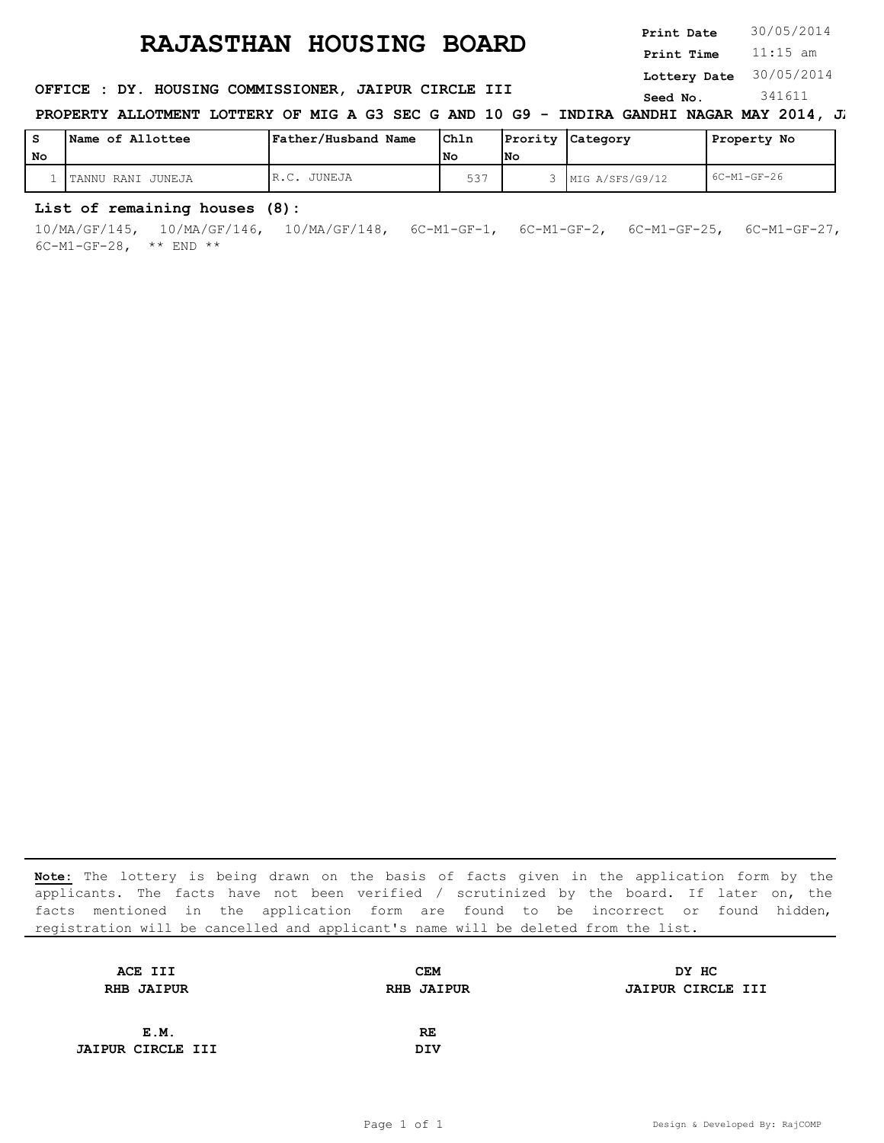11:15 am **Print Date**  $30/05/2014$ **Print Time**

**Lottery Date** 30/05/2014

### **SEED OFFICE : DY. HOUSING COMMISSIONER, JAIPUR CIRCLE III** Seed No. 341611

**PROPERTY ALLOTMENT LOTTERY OF MIG A G3 SEC G AND 10 G9 - INDIRA GANDHI NAGAR MAY 2014, Ji** 

| No | Name of Allottee   | Father/Husband Name | Chln<br>l No | <b>INo</b> | Prority Category | Property No |
|----|--------------------|---------------------|--------------|------------|------------------|-------------|
|    | ITANNU RANI JUNEJA | R.C. JUNEJA         | 537          |            | MIG A/SFS/G9/12  | 6C-M1-GF-26 |

#### **List of remaining houses (8):**

10/MA/GF/145, 10/MA/GF/146, 10/MA/GF/148, 6C-M1-GF-1, 6C-M1-GF-2, 6C-M1-GF-25, 6C-M1-GF-27, 6C-M1-GF-28, \*\* END \*\*

| ACE III                  | <b>CEM</b>        | DY HC                    |
|--------------------------|-------------------|--------------------------|
| <b>RHB JAIPUR</b>        | <b>RHB JAIPUR</b> | <b>JAIPUR CIRCLE III</b> |
|                          |                   |                          |
| E.M.                     | RE.               |                          |
| <b>JAIPUR CIRCLE III</b> | <b>DIV</b>        |                          |
|                          |                   |                          |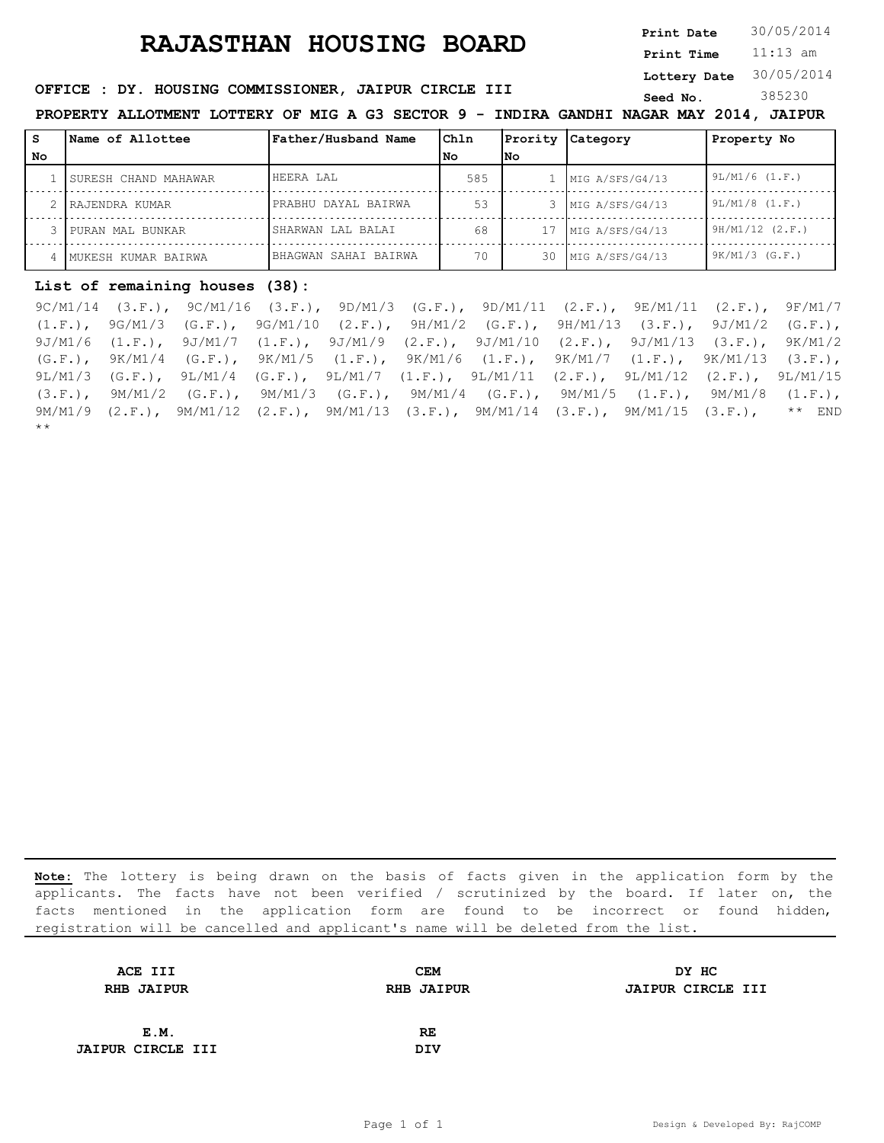**Print Date**  $30/05/2014$ 

11:13 am **Print Time**

**Lottery Date** 30/05/2014

### **SEED : DY. HOUSING COMMISSIONER, JAIPUR CIRCLE III** Seed No. 385230

**PROPERTY ALLOTMENT LOTTERY OF MIG A G3 SECTOR 9 - INDIRA GANDHI NAGAR MAY 2014, JAIPUR**

| s  | <b>Name of Allottee</b> | Father/Husband Name  | Ch1n |      | Prority Category  | Property No        |
|----|-------------------------|----------------------|------|------|-------------------|--------------------|
| No |                         |                      | l No | lNo. |                   |                    |
|    | ISURESH CHAND MAHAWAR   | HEERA LAL            | 585  |      | MIG A/SFS/G4/13   | 9L/M1/6 (1.F.)     |
|    | 2 IRAJENDRA KUMAR       | PRABHU DAYAL BAIRWA  | 53   |      | 3 MIG A/SFS/G4/13 | $9L/M1/8$ $(1.F.)$ |
|    | 3 PURAN MAL BUNKAR      | SHARWAN LAL BALAI    | 68   |      | MIG A/SFS/G4/13   | 9H/M1/12 (2.F.)    |
|    | MUKESH KUMAR BAIRWA     | BHAGWAN SAHAI BAIRWA | 70   | 30   | MIG A/SFS/G4/13   | $9K/M1/3$ (G.F.)   |

#### **List of remaining houses (38):**

|       |  |  | $9C/M1/14$ (3.F.), $9C/M1/16$ (3.F.), $9D/M1/3$ (G.F.), $9D/M1/11$ (2.F.), $9E/M1/11$ (2.F.), $9F/M1/7$              |  |  |
|-------|--|--|----------------------------------------------------------------------------------------------------------------------|--|--|
|       |  |  | $(1.F.)$ , 9G/M1/3 (G.F.), 9G/M1/10 (2.F.), 9H/M1/2 (G.F.), 9H/M1/13 (3.F.), 9J/M1/2 (G.F.),                         |  |  |
|       |  |  | $9J/M1/6$ (1.F.), $9J/M1/7$ (1.F.), $9J/M1/9$ (2.F.), $9J/M1/10$ (2.F.), $9J/M1/13$ (3.F.), $9K/M1/2$                |  |  |
|       |  |  | $(G.F.)$ , $9K/M1/4$ $(G.F.)$ , $9K/M1/5$ $(1.F.)$ , $9K/M1/6$ $(1.F.)$ , $9K/M1/7$ $(1.F.)$ , $9K/M1/13$ $(3.F.)$ , |  |  |
|       |  |  | $9L/M1/3$ (G.F.), $9L/M1/4$ (G.F.), $9L/M1/7$ (1.F.), $9L/M1/11$ (2.F.), $9L/M1/12$ (2.F.), $9L/M1/15$               |  |  |
|       |  |  | $(3.F.)$ , 9M/M1/2 $(G.F.)$ , 9M/M1/3 $(G.F.)$ , 9M/M1/4 $(G.F.)$ , 9M/M1/5 $(1.F.)$ , 9M/M1/8 $(1.F.)$              |  |  |
|       |  |  | $9M/M1/9$ (2.F.), $9M/M1/12$ (2.F.), $9M/M1/13$ (3.F.), $9M/M1/14$ (3.F.), $9M/M1/15$ (3.F.), ** END                 |  |  |
| $***$ |  |  |                                                                                                                      |  |  |

| ACE III                  | <b>CEM</b>        | DY HC             |
|--------------------------|-------------------|-------------------|
| <b>RHB JAIPUR</b>        | <b>RHB JAIPUR</b> | JAIPUR CIRCLE III |
|                          |                   |                   |
| E.M.                     | RE                |                   |
| <b>JAIPUR CIRCLE III</b> | <b>DIV</b>        |                   |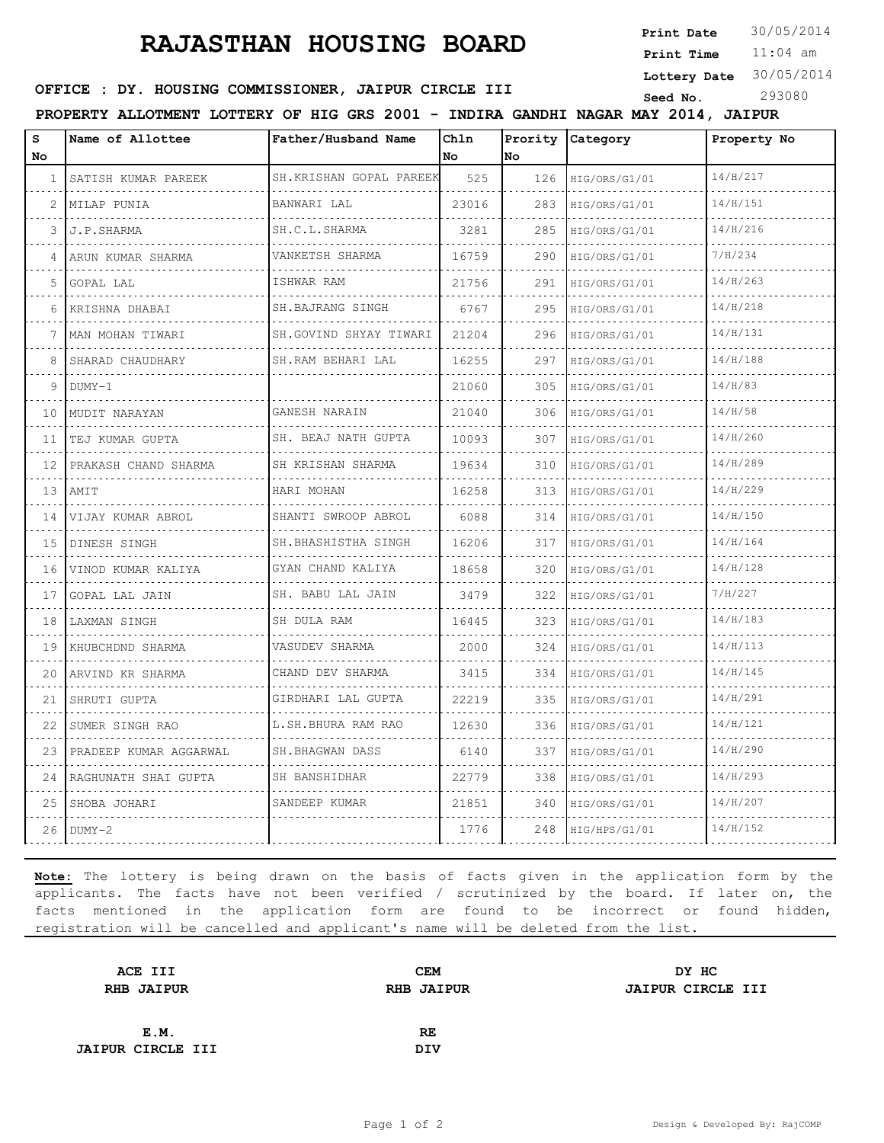**Print Date**  $30/05/2014$ 

11:04 am **Print Time**

**Lottery Date** 30/05/2014

# **SEED OFFICE : DY. HOUSING COMMISSIONER, JAIPUR CIRCLE III** Seed No. 293080

**PROPERTY ALLOTMENT LOTTERY OF HIG GRS 2001 - INDIRA GANDHI NAGAR MAY 2014, JAIPUR**

| s<br><b>No</b>  | Name of Allottee       | Father/Husband Name      | Chln<br>No. | Prority<br>lNo. | Category           | Property No |
|-----------------|------------------------|--------------------------|-------------|-----------------|--------------------|-------------|
| 1               | SATISH KUMAR PAREEK    | SH. KRISHAN GOPAL PAREEK | 525         | 126             | HIG/ORS/G1/01      | 14/H/217    |
| 2               | MILAP PUNIA            | BANWARI LAL              | 23016       | 283             | .<br>HIG/ORS/G1/01 | 14/H/151    |
| 3               | J.P.SHARMA             | SH.C.L.SHARMA            | 3281        | 285             | HIG/ORS/G1/01      | 14/H/216    |
| 4               | ARUN KUMAR SHARMA      | VANKETSH SHARMA          | 16759       | 290             | HIG/ORS/G1/01      | 7/H/234     |
| 5               | GOPAL LAL              | <u>.</u><br>ISHWAR RAM   | 21756       | 291             | HIG/ORS/G1/01      | 14/H/263    |
| 6               | KRISHNA DHABAI         | SH. BAJRANG SINGH        | 6767        | 295             | HIG/ORS/G1/01      | 14/H/218    |
| 7               | MAN MOHAN TIWARI       | SH.GOVIND SHYAY TIWARI   | 21204       | 296             | HIG/ORS/G1/01      | 14/H/131    |
| 8               | SHARAD CHAUDHARY       | SH.RAM BEHARI LAL        | 16255       | 297             | HIG/ORS/G1/01      | 14/H/188    |
| 9               | DUMY-1                 |                          | 21060       | 305             | HIG/ORS/G1/01      | 14/H/83     |
| 10              | MUDIT NARAYAN          | GANESH NARAIN<br>.       | 21040       | 306             | HIG/ORS/G1/01      | 14/H/58     |
| 11              | TEJ KUMAR GUPTA        | SH. BEAJ NATH GUPTA      | 10093       | 307             | HIG/ORS/G1/01      | 14/H/260    |
| 12              | PRAKASH CHAND SHARMA   | SH KRISHAN SHARMA        | 19634       | 310             | HIG/ORS/G1/01      | 14/H/289    |
| 13 <sup>°</sup> | AMIT                   | HARI MOHAN<br>.          | 16258       | 313             | HIG/ORS/G1/01      | 14/H/229    |
| 14              | VIJAY KUMAR ABROL      | SHANTI SWROOP ABROL      | 6088        | 314             | HIG/ORS/G1/01      | 14/H/150    |
| 15              | DINESH SINGH           | SH.BHASHISTHA SINGH      | 16206       | 317             | HIG/ORS/G1/01      | 14/H/164    |
| 16              | VINOD KUMAR KALIYA     | GYAN CHAND KALIYA<br>.   | 18658       | 320             | HIG/ORS/G1/01      | 14/H/128    |
| 17              | GOPAL LAL JAIN         | SH. BABU LAL JAIN        | 3479        | 322             | HIG/ORS/G1/01      | 7/H/227     |
| 18              | LAXMAN SINGH           | SH DULA RAM              | 16445       | 323             | HIG/ORS/G1/01      | 14/H/183    |
| 19              | KHUBCHDND SHARMA       | VASUDEV SHARMA           | 2000        | 324             | HIG/ORS/G1/01      | 14/H/113    |
| 20              | ARVIND KR SHARMA       | CHAND DEV SHARMA         | 3415        | 334             | HIG/ORS/G1/01      | 14/H/145    |
| 21              | SHRUTI GUPTA           | GIRDHARI LAL GUPTA       | 22219       | 335             | HIG/ORS/G1/01      | 14/H/291    |
| 22              | SUMER SINGH RAO        | L.SH.BHURA RAM RAO       | 12630       | 336             | HIG/ORS/G1/01      | 14/H/121    |
| 23              | PRADEEP KUMAR AGGARWAL | SH.BHAGWAN DASS          | 6140        | 337             | HIG/ORS/G1/01      | 14/H/290    |
| 24              | RAGHUNATH SHAI GUPTA   | SH BANSHIDHAR            | 22779       | 338             | HIG/ORS/G1/01      | 14/H/293    |
| 25              | SHOBA JOHARI           | SANDEEP KUMAR            | 21851       | 340             | HIG/ORS/G1/01      | 14/H/207    |
|                 | $26$ DUMY-2            |                          | 1776        | 248             | HIG/HPS/G1/01      | 14/H/152    |

| ACE III                  | <b>CEM</b>        | DY HC                    |
|--------------------------|-------------------|--------------------------|
| <b>RHB JAIPUR</b>        | <b>RHB JAIPUR</b> | <b>JAIPUR CIRCLE III</b> |
|                          |                   |                          |
| E.M.                     | RE                |                          |
| <b>JAIPUR CIRCLE III</b> | <b>DIV</b>        |                          |